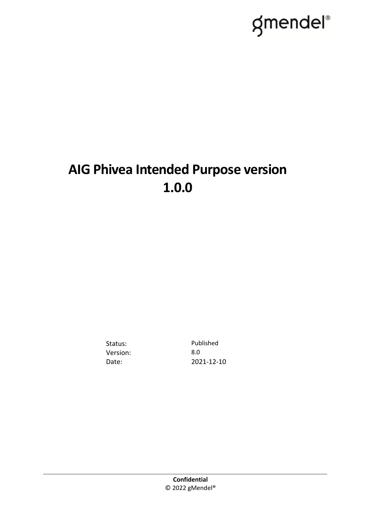# gmendel®

## **AIG Phivea Intended Purpose version 1.0.0**

Version: 8.0

Status: Published Date: 2021-12-10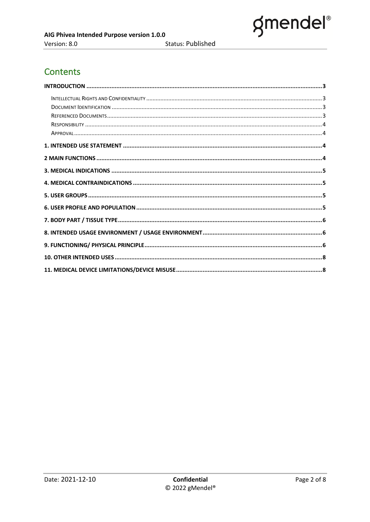

#### **Contents**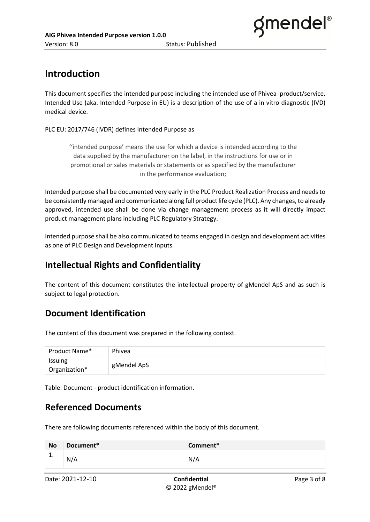

#### **Introduction**

This document specifies the intended purpose including the intended use of Phivea product/service. Intended Use (aka. Intended Purpose in EU) is a description of the use of a in vitro diagnostic (IVD) medical device.

PLC EU: 2017/746 (IVDR) defines Intended Purpose as

''intended purpose' means the use for which a device is intended according to the data supplied by the manufacturer on the label, in the instructions for use or in promotional or sales materials or statements or as specified by the manufacturer in the performance evaluation;

Intended purpose shall be documented very early in the PLC Product Realization Process and needs to be consistently managed and communicated along full product life cycle (PLC). Any changes, to already approved, intended use shall be done via change management process as it will directly impact product management plans including PLC Regulatory Strategy.

Intended purpose shall be also communicated to teams engaged in design and development activities as one of PLC Design and Development Inputs.

#### **Intellectual Rights and Confidentiality**

The content of this document constitutes the intellectual property of gMendel ApS and as such is subject to legal protection.

#### **Document Identification**

The content of this document was prepared in the following context.

| Product Name*            | Phivea      |
|--------------------------|-------------|
| Issuing<br>Organization* | gMendel ApS |

Table. Document - product identification information.

#### **Referenced Documents**

There are following documents referenced within the body of this document.

| <b>No</b> | Document* | Comment* |
|-----------|-----------|----------|
| <b>.</b>  | N/A       | N/A      |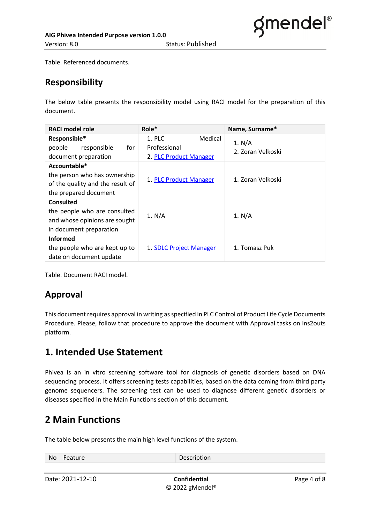Table. Referenced documents.

#### **Responsibility**

The below table presents the responsibility model using RACI model for the preparation of this document.

| <b>RACI model role</b>                                                                                       | $Role*$                                                     | Name, Surname*              |  |
|--------------------------------------------------------------------------------------------------------------|-------------------------------------------------------------|-----------------------------|--|
| Responsible*<br>responsible<br>people<br>for<br>document preparation                                         | 1. PLC<br>Medical<br>Professional<br>2. PLC Product Manager | 1. N/A<br>2. Zoran Velkoski |  |
| Accountable*<br>the person who has ownership<br>of the quality and the result of<br>the prepared document    | 1. PLC Product Manager                                      | 1. Zoran Velkoski           |  |
| <b>Consulted</b><br>the people who are consulted<br>and whose opinions are sought<br>in document preparation | 1. $N/A$                                                    | 1. N/A                      |  |
| <b>Informed</b><br>the people who are kept up to<br>date on document update                                  | 1. SDLC Project Manager                                     | 1. Tomasz Puk               |  |

Table. Document RACI model.

#### **Approval**

This document requires approval in writing as specified in PLC Control of Product Life Cycle Documents Procedure. Please, follow that procedure to approve the document with Approval tasks on ins2outs platform.

#### **1. Intended Use Statement**

Phivea is an in vitro screening software tool for diagnosis of genetic disorders based on DNA sequencing process. It offers screening tests capabilities, based on the data coming from third party genome sequencers. The screening test can be used to diagnose different genetic disorders or diseases specified in the Main Functions section of this document.

#### **2 Main Functions**

The table below presents the main high level functions of the system.

| No Feature | Description |
|------------|-------------|
|            |             |

Date: 2021-12-10 **Confidential** Confidential Page 4 of 8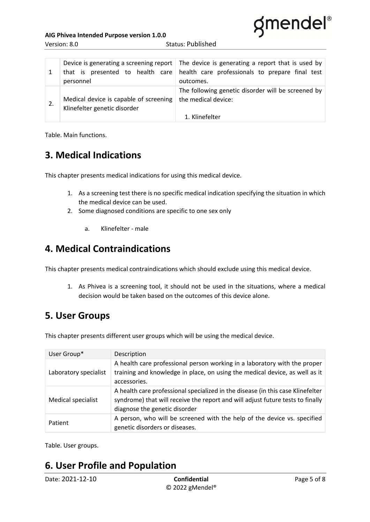

Version: 8.0 Status: Published

| that is presented to health care<br>personnel                          | Device is generating a screening report The device is generating a report that is used by<br>health care professionals to prepare final test<br>outcomes. |
|------------------------------------------------------------------------|-----------------------------------------------------------------------------------------------------------------------------------------------------------|
| Medical device is capable of screening<br>Klinefelter genetic disorder | The following genetic disorder will be screened by<br>the medical device:<br>1. Klinefelter                                                               |

Table. Main functions.

#### **3. Medical Indications**

This chapter presents medical indications for using this medical device.

- 1. As a screening test there is no specific medical indication specifying the situation in which the medical device can be used.
- 2. Some diagnosed conditions are specific to one sex only
	- a. Klinefelter male

#### **4. Medical Contraindications**

This chapter presents medical contraindications which should exclude using this medical device.

1. As Phivea is a screening tool, it should not be used in the situations, where a medical decision would be taken based on the outcomes of this device alone.

#### **5. User Groups**

This chapter presents different user groups which will be using the medical device.

| User Group*           | Description                                                                                                                                                                                        |
|-----------------------|----------------------------------------------------------------------------------------------------------------------------------------------------------------------------------------------------|
| Laboratory specialist | A health care professional person working in a laboratory with the proper<br>training and knowledge in place, on using the medical device, as well as it<br>accessories.                           |
| Medical specialist    | A health care professional specialized in the disease (in this case Klinefelter<br>syndrome) that will receive the report and will adjust future tests to finally<br>diagnose the genetic disorder |
| Patient               | A person, who will be screened with the help of the device vs. specified<br>genetic disorders or diseases.                                                                                         |

Table. User groups.

#### **6. User Profile and Population**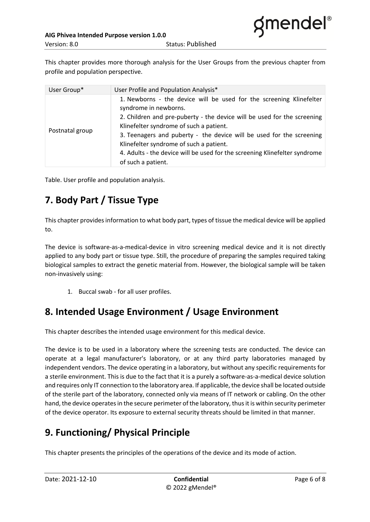This chapter provides more thorough analysis for the User Groups from the previous chapter from profile and population perspective.

| User Group*     | User Profile and Population Analysis*                                                                                                                                                                                                                                                                                                                                                                                                     |
|-----------------|-------------------------------------------------------------------------------------------------------------------------------------------------------------------------------------------------------------------------------------------------------------------------------------------------------------------------------------------------------------------------------------------------------------------------------------------|
| Postnatal group | 1. Newborns - the device will be used for the screening Klinefelter<br>syndrome in newborns.<br>2. Children and pre-puberty - the device will be used for the screening<br>Klinefelter syndrome of such a patient.<br>3. Teenagers and puberty - the device will be used for the screening<br>Klinefelter syndrome of such a patient.<br>4. Adults - the device will be used for the screening Klinefelter syndrome<br>of such a patient. |

Table. User profile and population analysis.

## **7. Body Part / Tissue Type**

This chapter provides information to what body part, types of tissue the medical device will be applied to.

The device is software-as-a-medical-device in vitro screening medical device and it is not directly applied to any body part or tissue type. Still, the procedure of preparing the samples required taking biological samples to extract the genetic material from. However, the biological sample will be taken non-invasively using:

1. Buccal swab - for all user profiles.

### **8. Intended Usage Environment / Usage Environment**

This chapter describes the intended usage environment for this medical device.

The device is to be used in a laboratory where the screening tests are conducted. The device can operate at a legal manufacturer's laboratory, or at any third party laboratories managed by independent vendors. The device operating in a laboratory, but without any specific requirements for a sterile environment. This is due to the fact that it is a purely a software-as-a-medical device solution and requires only IT connection to the laboratory area. If applicable, the device shall be located outside of the sterile part of the laboratory, connected only via means of IT network or cabling. On the other hand, the device operates in the secure perimeter of the laboratory, thus it is within security perimeter of the device operator. Its exposure to external security threats should be limited in that manner.

## **9. Functioning/ Physical Principle**

This chapter presents the principles of the operations of the device and its mode of action.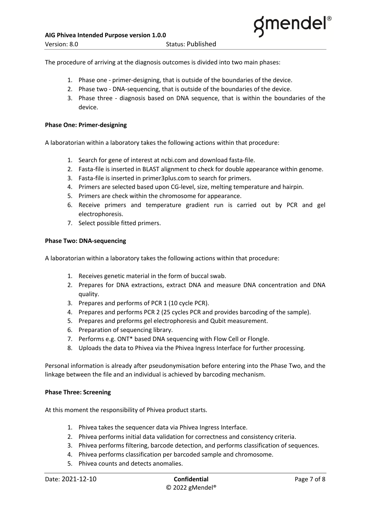The procedure of arriving at the diagnosis outcomes is divided into two main phases:

- 1. Phase one primer-designing, that is outside of the boundaries of the device.
- 2. Phase two DNA-sequencing, that is outside of the boundaries of the device.
- 3. Phase three diagnosis based on DNA sequence, that is within the boundaries of the device.

#### **Phase One: Primer-designing**

A laboratorian within a laboratory takes the following actions within that procedure:

- 1. Search for gene of interest at ncbi.com and download fasta-file.
- 2. Fasta-file is inserted in BLAST alignment to check for double appearance within genome.
- 3. Fasta-file is inserted in primer3plus.com to search for primers.
- 4. Primers are selected based upon CG-level, size, melting temperature and hairpin.
- 5. Primers are check within the chromosome for appearance.
- 6. Receive primers and temperature gradient run is carried out by PCR and gel electrophoresis.
- 7. Select possible fitted primers.

#### **Phase Two: DNA-sequencing**

A laboratorian within a laboratory takes the following actions within that procedure:

- 1. Receives genetic material in the form of buccal swab.
- 2. Prepares for DNA extractions, extract DNA and measure DNA concentration and DNA quality.
- 3. Prepares and performs of PCR 1 (10 cycle PCR).
- 4. Prepares and performs PCR 2 (25 cycles PCR and provides barcoding of the sample).
- 5. Prepares and preforms gel electrophoresis and Qubit measurement.
- 6. Preparation of sequencing library.
- 7. Performs e.g. ONT\* based DNA sequencing with Flow Cell or Flongle.
- 8. Uploads the data to Phivea via the Phivea Ingress Interface for further processing.

Personal information is already after pseudonymisation before entering into the Phase Two, and the linkage between the file and an individual is achieved by barcoding mechanism.

#### **Phase Three: Screening**

At this moment the responsibility of Phivea product starts.

- 1. Phivea takes the sequencer data via Phivea Ingress Interface.
- 2. Phivea performs initial data validation for correctness and consistency criteria.
- 3. Phivea performs filtering, barcode detection, and performs classification of sequences.
- 4. Phivea performs classification per barcoded sample and chromosome.
- 5. Phivea counts and detects anomalies.